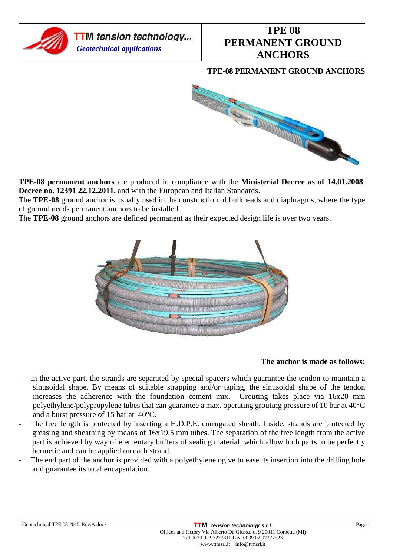

## **TPE-08 PERMANENT GROUND ANCHORS**



**TPE-08 permanent anchors** are produced in compliance with the **Ministerial Decree as of 14.01.2008**, **Decree no. 12391 22.12.2011,** and with the European and Italian Standards.

The **TPE-08** ground anchor is usually used in the construction of bulkheads and diaphragms, where the type of ground needs permanent anchors to be installed.

The **TPE-08** ground anchors are defined permanent as their expected design life is over two years.



## **The anchor is made as follows:**

- In the active part, the strands are separated by special spacers which guarantee the tendon to maintain a sinusoidal shape. By means of suitable strapping and/or taping, the sinusoidal shape of the tendon increases the adherence with the foundation cement mix. Grouting takes place via 16x20 mm polyethylene/polypropylene tubes that can guarantee a max. operating grouting pressure of 10 bar at 40°C and a burst pressure of 15 bar at 40°C.
- The free length is protected by inserting a H.D.P.E. corrugated sheath. Inside, strands are protected by greasing and sheathing by means of 16x19.5 mm tubes. The separation of the free length from the active part is achieved by way of elementary buffers of sealing material, which allow both parts to be perfectly hermetic and can be applied on each strand.
- The end part of the anchor is provided with a polyethylene ogive to ease its insertion into the drilling hole and guarantee its total encapsulation.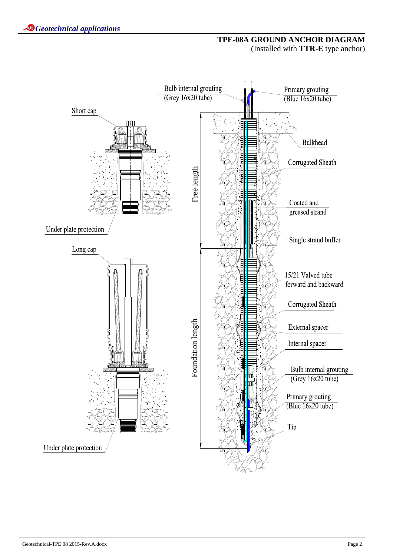## **TPE-08A GROUND ANCHOR DIAGRAM**  (Installed with **TTR-E** type anchor)